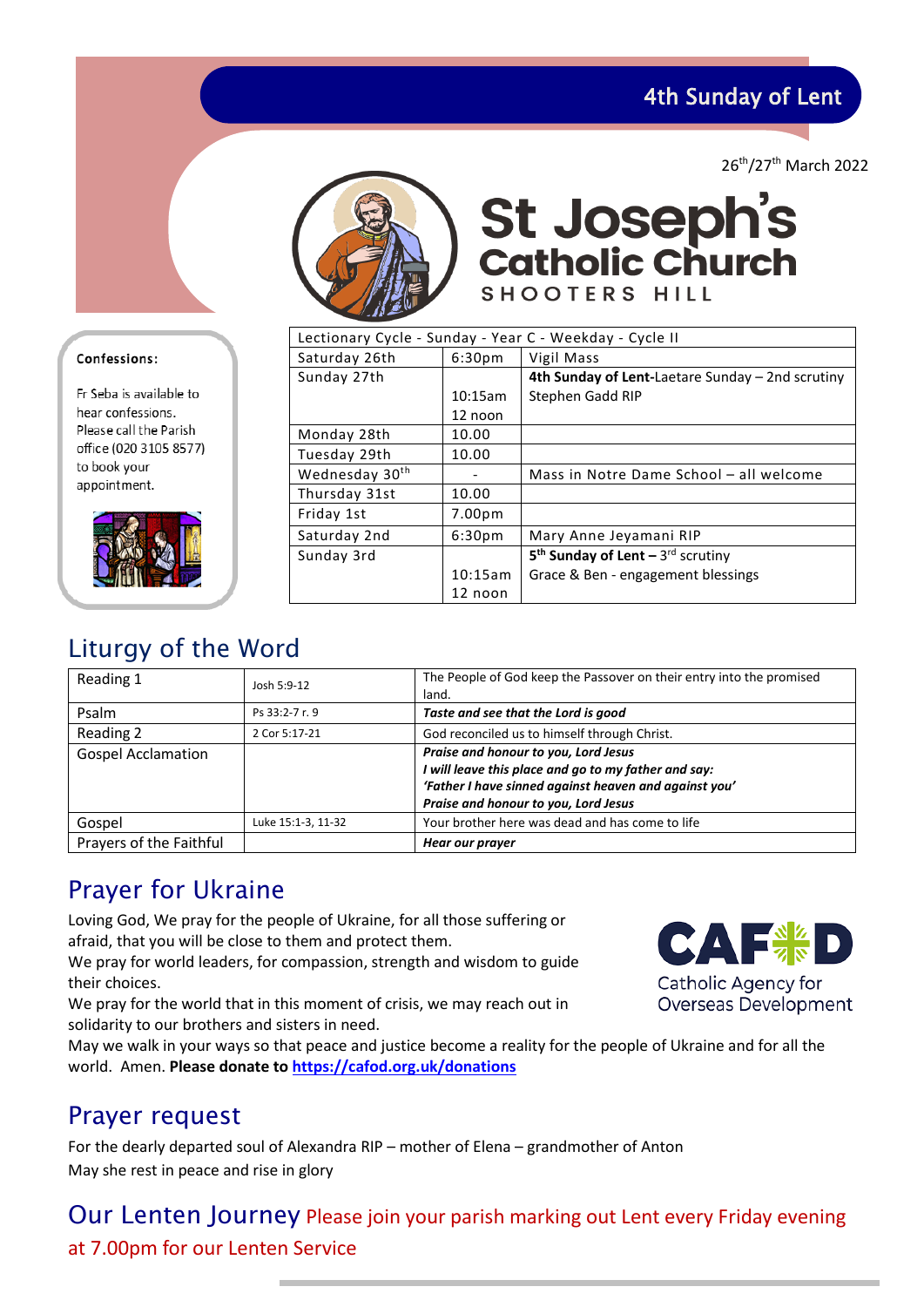4th Sunday of Lent

26th/27th March 2022



St Joseph's<br>catholic Church SHOOTERS HILL

| Lectionary Cycle - Sunday - Year C - Weekday - Cycle II |                    |                                                  |
|---------------------------------------------------------|--------------------|--------------------------------------------------|
| Saturday 26th                                           | 6:30 <sub>pm</sub> | Vigil Mass                                       |
| Sunday 27th                                             |                    | 4th Sunday of Lent-Laetare Sunday – 2nd scrutiny |
|                                                         | 10:15am            | Stephen Gadd RIP                                 |
|                                                         | 12 noon            |                                                  |
| Monday 28th                                             | 10.00              |                                                  |
| Tuesday 29th                                            | 10.00              |                                                  |
| Wednesday 30 <sup>th</sup>                              |                    | Mass in Notre Dame School - all welcome          |
| Thursday 31st                                           | 10.00              |                                                  |
| Friday 1st                                              | 7.00 <sub>pm</sub> |                                                  |
| Saturday 2nd                                            | 6:30 <sub>pm</sub> | Mary Anne Jeyamani RIP                           |
| Sunday 3rd                                              |                    | $5th$ Sunday of Lent - 3 <sup>rd</sup> scrutiny  |
|                                                         | 10:15am            | Grace & Ben - engagement blessings               |
|                                                         | 12 noon            |                                                  |

# Liturgy of the Word

| Reading 1                 | Josh 5:9-12        | The People of God keep the Passover on their entry into the promised<br>land.                                                                                                                 |
|---------------------------|--------------------|-----------------------------------------------------------------------------------------------------------------------------------------------------------------------------------------------|
| Psalm                     | Ps 33:2-7 r. 9     | Taste and see that the Lord is good                                                                                                                                                           |
| Reading 2                 | 2 Cor 5:17-21      | God reconciled us to himself through Christ.                                                                                                                                                  |
| <b>Gospel Acclamation</b> |                    | Praise and honour to you, Lord Jesus<br>I will leave this place and go to my father and say:<br>'Father I have sinned against heaven and against you'<br>Praise and honour to you, Lord Jesus |
| Gospel                    | Luke 15:1-3, 11-32 | Your brother here was dead and has come to life                                                                                                                                               |
| Prayers of the Faithful   |                    | Hear our prayer                                                                                                                                                                               |

# Prayer for Ukraine

Loving God, We pray for the people of Ukraine, for all those suffering or afraid, that you will be close to them and protect them.

We pray for world leaders, for compassion, strength and wisdom to guide their choices.

We pray for the world that in this moment of crisis, we may reach out in solidarity to our brothers and sisters in need.

May we walk in your ways so that peace and justice become a reality for the people of Ukraine and for all the world. Amen. **Please donate to [https://cafod.org.uk/donations](https://cafod.org.uk/donations/picker?defaultuniversaltype=single&_Appeal=123770)**

# Prayer request

For the dearly departed soul of Alexandra RIP – mother of Elena – grandmother of Anton May she rest in peace and rise in glory

## Our Lenten Journey Please join your parish marking out Lent every Friday evening at 7.00pm for our Lenten Service

## Confessions:

Fr Seba is available to hear confessions. Please call the Parish office (020 3105 8577) to book your appointment.



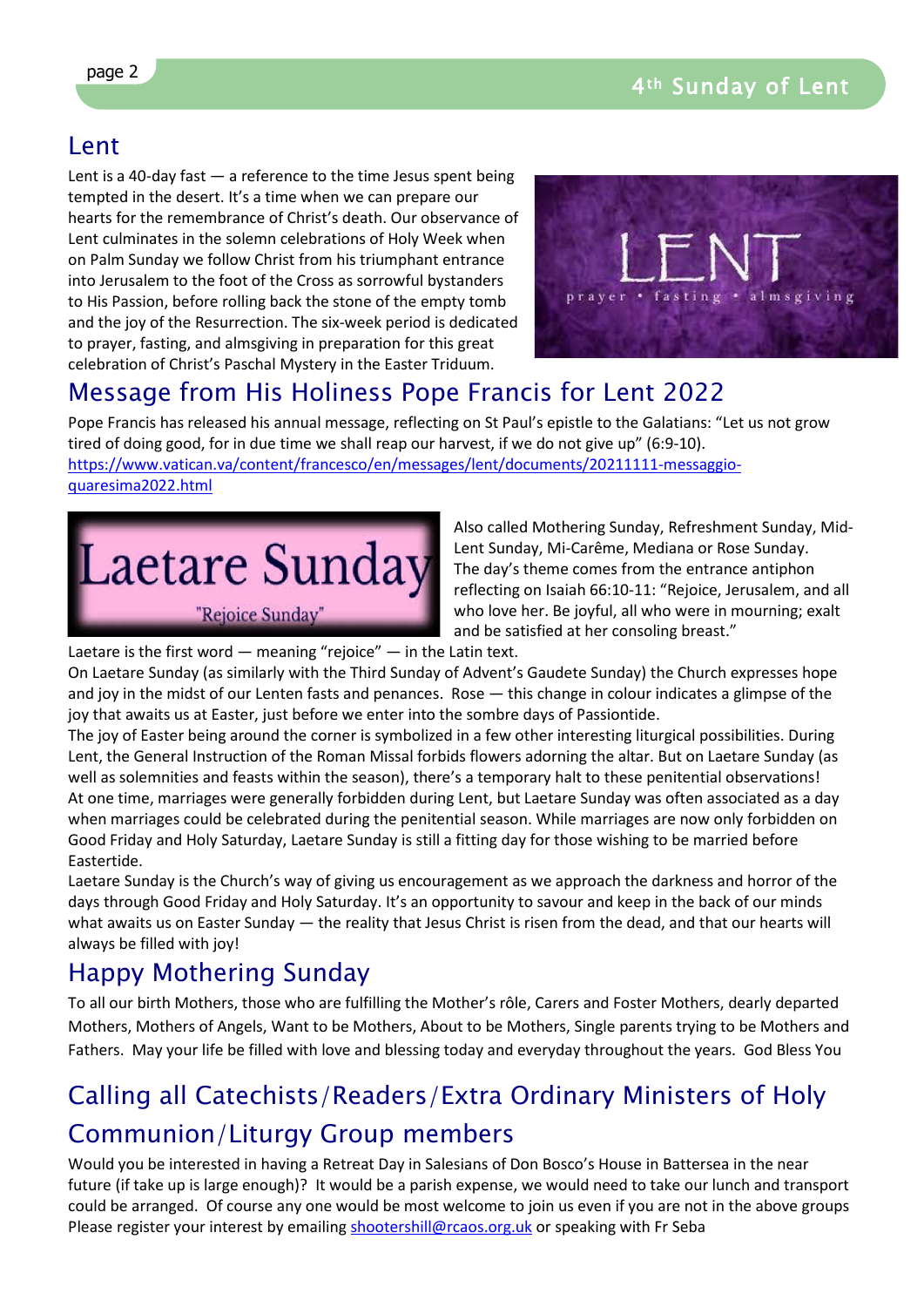## Lent

Lent is a 40-day fast  $-$  a reference to the time Jesus spent being tempted in the desert. It's a time when we can prepare our hearts for the remembrance of Christ's death. Our observance of Lent culminates in the solemn celebrations of Holy Week when on Palm Sunday we follow Christ from his triumphant entrance into Jerusalem to the foot of the Cross as sorrowful bystanders to His Passion, before rolling back the stone of the empty tomb and the joy of the Resurrection. The six-week period is dedicated to prayer, fasting, and almsgiving in preparation for this great celebration of Christ's Paschal Mystery in the Easter Triduum.



# Message from His Holiness Pope Francis for Lent 2022

Pope Francis has released his annual message, reflecting on St Paul's epistle to the Galatians: "Let us not grow tired of doing good, for in due time we shall reap our harvest, if we do not give up" (6:9-10). [https://www.vatican.va/content/francesco/en/messages/lent/documents/20211111-messaggio](https://www.vatican.va/content/francesco/en/messages/lent/documents/20211111-messaggio-quaresima2022.html)[quaresima2022.html](https://www.vatican.va/content/francesco/en/messages/lent/documents/20211111-messaggio-quaresima2022.html)



Also called Mothering Sunday, Refreshment Sunday, Mid-Lent Sunday, Mi-Carême, Mediana or Rose Sunday. The day's theme comes from the entrance antiphon reflecting on Isaiah 66:10-11: "Rejoice, Jerusalem, and all who love her. Be joyful, all who were in mourning; exalt and be satisfied at her consoling breast."

Laetare is the first word  $-$  meaning "rejoice"  $-$  in the Latin text.

On Laetare Sunday (as similarly with the Third Sunday of Advent's Gaudete Sunday) the Church expresses hope and joy in the midst of our Lenten fasts and penances. Rose — this change in colour indicates a glimpse of the joy that awaits us at Easter, just before we enter into the sombre days of Passiontide.

The joy of Easter being around the corner is symbolized in a few other interesting liturgical possibilities. During Lent, the General Instruction of the Roman Missal forbids flowers adorning the altar. But on Laetare Sunday (as well as solemnities and feasts within the season), there's a temporary halt to these penitential observations! At one time, marriages were generally forbidden during Lent, but Laetare Sunday was often associated as a day when marriages could be celebrated during the penitential season. While marriages are now only forbidden on Good Friday and Holy Saturday, Laetare Sunday is still a fitting day for those wishing to be married before Eastertide.

Laetare Sunday is the Church's way of giving us encouragement as we approach the darkness and horror of the days through Good Friday and Holy Saturday. It's an opportunity to savour and keep in the back of our minds what awaits us on Easter Sunday — the reality that Jesus Christ is risen from the dead, and that our hearts will always be filled with joy!

# Happy Mothering Sunday

To all our birth Mothers, those who are fulfilling the Mother's rôle, Carers and Foster Mothers, dearly departed Mothers, Mothers of Angels, Want to be Mothers, About to be Mothers, Single parents trying to be Mothers and Fathers. May your life be filled with love and blessing today and everyday throughout the years. God Bless You

# Calling all Catechists/Readers/Extra Ordinary Ministers of Holy Communion/Liturgy Group members

Would you be interested in having a Retreat Day in Salesians of Don Bosco's House in Battersea in the near future (if take up is large enough)? It would be a parish expense, we would need to take our lunch and transport could be arranged. Of course any one would be most welcome to join us even if you are not in the above groups Please register your interest by emailing [shootershill@rcaos.org.uk](mailto:shootershill@rcaos.org.uk) or speaking with Fr Seba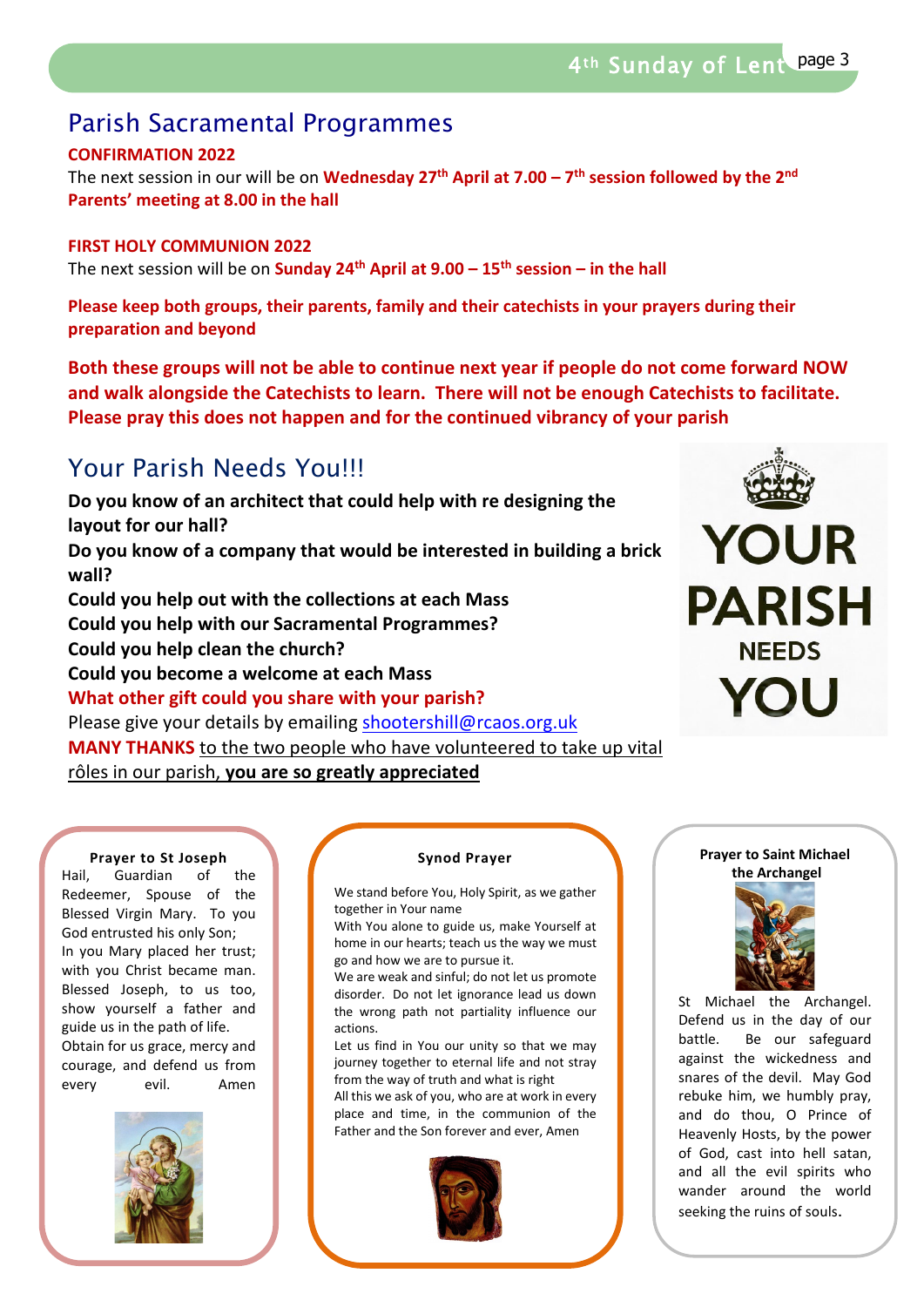# Parish Sacramental Programmes

## **CONFIRMATION 2022**

The next session in our will be on **Wednesday 27th April at 7.00 – 7th session followed by the 2nd Parents' meeting at 8.00 in the hall**

### **FIRST HOLY COMMUNION 2022**

The next session will be on **Sunday 24th April at 9.00 – 15th session – in the hall**

**Please keep both groups, their parents, family and their catechists in your prayers during their preparation and beyond**

**Both these groups will not be able to continue next year if people do not come forward NOW and walk alongside the Catechists to learn. There will not be enough Catechists to facilitate. Please pray this does not happen and for the continued vibrancy of your parish** 

# Your Parish Needs You!!!

**Do you know of an architect that could help with re designing the layout for our hall? Do you know of a company that would be interested in building a brick wall? Could you help out with the collections at each Mass Could you help with our Sacramental Programmes? Could you help clean the church? Could you become a welcome at each Mass What other gift could you share with your parish?** Please give your details by emailing shootershill@rcaos.org.uk **MANY THANKS** to the two people who have volunteered to take up vital rôles in our parish, **you are so greatly appreciated**



#### **Prayer to St Joseph**

Hail, Guardian of the Redeemer, Spouse of the Blessed Virgin Mary. To you God entrusted his only Son; In you Mary placed her trust; with you Christ became man. Blessed Joseph, to us too, show yourself a father and guide us in the path of life. Obtain for us grace, mercy and courage, and defend us from every evil. Amen



#### **Synod Prayer**

We stand before You, Holy Spirit, as we gather together in Your name

With You alone to guide us, make Yourself at home in our hearts; teach us the way we must go and how we are to pursue it.

We are weak and sinful; do not let us promote disorder. Do not let ignorance lead us down the wrong path not partiality influence our actions.

Let us find in You our unity so that we may journey together to eternal life and not stray from the way of truth and what is right All this we ask of you, who are at work in every

place and time, in the communion of the Father and the Son forever and ever, Amen



#### **Prayer to Saint Michael the Archangel**



St Michael the Archangel. Defend us in the day of our battle. Be our safeguard against the wickedness and snares of the devil. May God rebuke him, we humbly pray, and do thou, O Prince of Heavenly Hosts, by the power of God, cast into hell satan, and all the evil spirits who wander around the world seeking the ruins of souls.